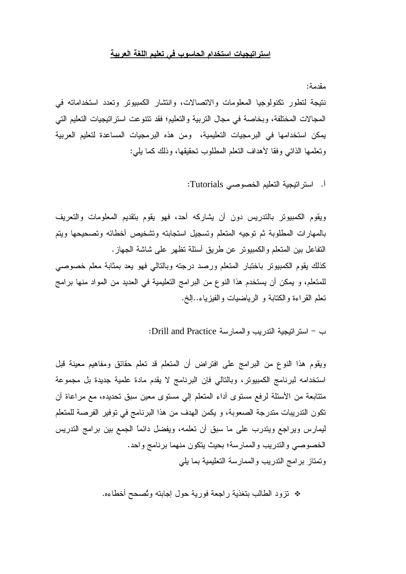## استراتيجيات استخدام الحاسوب في تعليم اللغة العربية

مقدمة: نتيجة لتطور تكنولوجيا المعلومات والاتصالات، وانتشار الكمبيوتر وتعدد استخداماته في المجالات المختلفة، وبخاصة في مجال التربية والتعليم؛ فقد تتنوعت استر اتيجيات التعليم التي يمكن استخدامها في البرمجيات التعليمية، ومن هذه البرمجيات المساعدة لتعليم العربية وتعلمها الذاتي وفقا لأهداف النعلم المطلوب تحقيقها، وذلك كما يلي:

أ. استراتيجية التعليم الخصوصي Tutorials:

ويقوم الكمبيوتر بالتدريس دون أن يشاركه أحد، فهو يقوم بتقديم المعلومات والتعريف بالمهارات المطلوبة ثم توجيه المتعلم وتسجيل استجابته وتشخيص أخطائه وتصحيحها ويتم النفاعل بين المتعلم والكمبيوتر عن طريق أسئلة نظهر على شاشة الجهاز. كذلك يقوم الكمبيوتر باختبار المتعلم ورصد درجته وبالتالمي فهو يعد بمثابة معلم خصوصي للمتعلم، و يمكن أن يستخدم هذا النوع من البرامج التعليمية في العديد من المواد منها برامج تعلَّم القراءة والكتابة و الرياضيات والفيزياء..إلخ.

ب – استر اتيجية التدريب والممارسة Drill and Practice:

ويقوم هذا النوع من البرامج على افتراض أن المتعلم قد تعلم حقائق ومفاهيم معينة قبل استخدامه لبرنامج الكمبيوتر، وبالتالي فإن البرنامج لا يقدم مادة علمية جديدة بل مجموعة متتابعة من الأسئلة لرفع مستوى أداء المتعلم إلى مستوى معين سبق تحديده، مع مراعاة أن تكون التدريبات متدرجة الصعوبة، و يكمن الهدف من هذا البرنامج في توفير الفرصة للمتعلم ليمارس ويراجع ويتدرب على ما سبق أن تعلمه، ويفضل دائماً الجمع بين برامج التدريس الخصوصبي والتدريب والممارسة؛ بحيث يتكون منهما برنامج واحد. وتمتاز برامج التدريب والممارسة التعليمية بما يلي

\* نزود الطالب بتغذية راجعة فورية حول إجابته وتُصحح أخطاءه.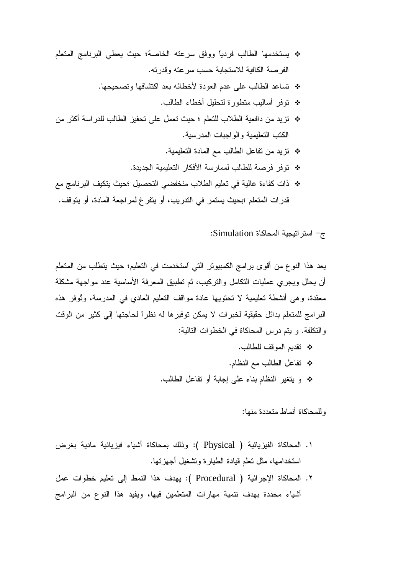- \* يستخدمها الطالب فردياً ووفق سرعته الخاصة؛ حيث يعطي البرنامج المتعلم الفرصة الكافية للاستجابة حسب سرعته وقدرته.
	- \* تساعد الطالب على عدم العودة لأخطائه بعد اكتشافها وتصحيحها.
		- \* توفر أساليب متطورة لتحليل أخطاء الطالب.
- \* تزيد من دافعية الطلاب للتعلم ؛ حيث تعمل على تحفيز الطالب للدراسة أكثر من الكتب التعليمية والواجبات المدرسية.
	- \* تزيد من تفاعل الطالب مع المادة التعليمية.
	- \* توفر فرصة للطالب لممارسة الأفكار التعليمية الجديدة.
- \* ذات كفاءة عالية في تعليم الطلاب منخفضي التحصيل ؛حيث يتكيف البرنامج مع قدرات المتعلم ؛بحيث يستمر في التدريب، أو يتفرغ لمراجعة المادة، أو يتوقف.

ج- استر اتيجية المحاكاة Simulation:

يعد هذا النوع من أقوى برامج الكمبيوتر التي أستخدمت في التعليم؛ حيث يتطلب من المتعلم أن يحلل ويجرى عمليات التكامل والنركيب، ثم تطبيق المعرفة الأساسية عند مواجهة مشكلة معقدة، وهي أنشطة تعليمية لا تحتويها عادة مواقف التعليم العادي في المدرسة، وتُوفر هذه البر امج للمتعلم بدائل حقيقية لخبر ات لا يمكن توفير ها له نظراً لحاجتها إلى كثير من الوقت والنكلفة. و يتم درس المحاكاة في الخطوات التالية:

> \* تقديم الموقف للطالب. \* تفاعل الطالب مع النظام. \* و يتغير النظام بناء على إجابة أو تفاعل الطالب.

> > وللمحاكاة أنماط متعددة منها:

- ١. المحاكاة الفيزيائية ( Physical ): وذلك بمحاكاة أشياء فيزيائية مادية بغرض استخدامها، مثل تعلم قيادة الطيار ة وتشغيل أجهز تها.
- ٢. المحاكاة الإجرائية ( Procedural ): يهدف هذا النمط إلى تعليم خطوات عمل أشياء محددة بهدف تنمية مهارات المتعلمين فيها، ويفيد هذا النوع من البرامج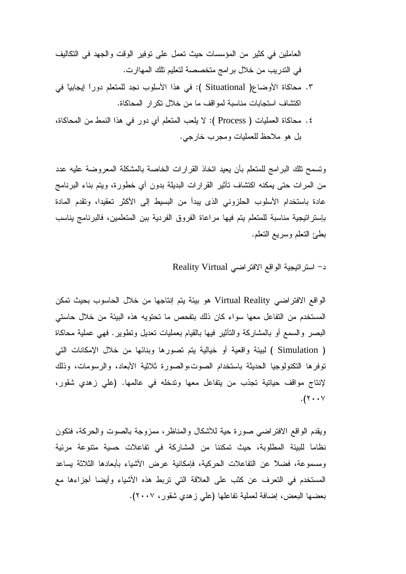العاملين في كثير من المؤسسات حيث تعمل على توفير الوقت والجهد في التكاليف في التدريب من خلال برامج متخصصة لتعليم تلك المهاارت.

- ٣. محاكاة الأوضاع( Situational ): في هذا الأسلوب نجد للمتعلم دوراً إيجابياً في اكتشاف استجابات مناسبة لمواقف ما من خلال تكرار المحاكاة.
- ٤. محاكاة العمليات ( Process ): لا يلعب المتعلم أي دورٍ في هذا النمط من المحاكاة، بل هو ملاحظ للعمليات ومجرب خارجي.

ونسمح نلك البرامج للمتعلم بأن يعيد اتخاذ القرارات الخاصة بالمشكلة المعروضة عليه عدد من المرات حتى يمكنه اكتشاف تأثير القرارات البديلة بدون أي خطورة، ويتم بناء البرنامج عادة باستخدام الأسلوب الحلزوني الذي يبدأ من البسيط إلى الأكثر تعقيدا، وتقدم المادة بإستراتيجية مناسبة للمتعلم يتم فيها مراعاة الفروق الفردية ببن المتعلمين، فالبرنامج يناسب بطئ النعلم وسريع النعلم.

د- استر اتيجية الواقع الافتر اضي Reality Virtual

الواقع الافتراضي Virtual Reality هو بيئة يتم إنتاجها من خلال الحاسوب بحيث تمكن المستخدم من التفاعل معها سواء كان ذلك بتفحص ما تحتويه هذه البيئة من خلال حاستي البصـر والسمـع أو بـالمشاركـة والنَّاثير فيـها بـالقيام بـعمليات نـعديل ونطوير . فـهـي عملية مـحاكـاة ( Simulation ) لبيئة واقعية أو خيالية يتم تصورها وبنائها من خلال الإمكانات التي توفرها التكنولوجيا الحديثة باستخدام الصوت،والصورة ثلاثية الأبعاد، والرسومات، وذلك لإنتاج مواقف حياتية تجذب من يتفاعل معها وتدخله في عالمها. (على زهدي شقور،  $\cdot$  (۲  $\cdot$   $\cdot$   $\vee$ 

ويقدم الواقع الافتراضيي صورة حية للأشكال والمناظر، ممزوجة بالصوت والحركة، فتكون نظاماً للبيئة المطلوبة، حيث تمكننا من المشاركة في تفاعلات حسية متنوعة مرئية ومسموعة، فضلاً عن التفاعلات الحركية، فإمكانية عرض الأشياء بأبعادها الثلاثة يساعد المستخدم في التعرف عن كثب على العلاقة التي تربط هذه الأشياء وأيضا أجزاءها مع بعضمها البعض، إضافة لعملية تفاعلها (علي زهدي شقور، ٢٠٠٧).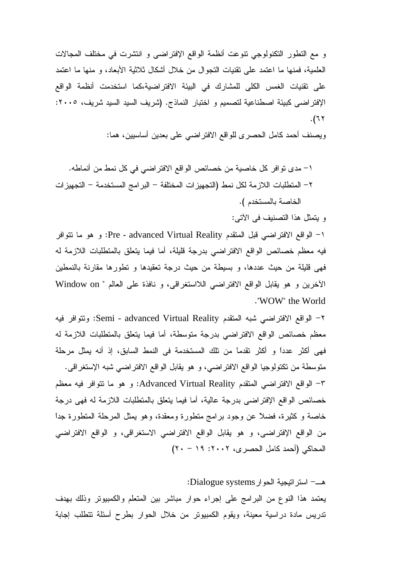و مع التطور التكنولوجي تنوعت أنظمة الواقع الإفتراضـي و انتشرت في مختلف المجالات العلمية، فمنها ما اعتمد على نقنيات التجوال من خلال أشكال ثلاثية الأبعاد، و منها ما اعتمد على تقنيات الغمس الكلى للمشارك في البيئة الافتراضية،كما استخدمت أنظمة الواقع الإفتراضـي كبيئة اصطناعية لتصميم و اختبار النماذج. (شريف السيد السيد شريف، ٢٠٠٥:  $.$ (٦٢

ويصنف أحمد كامل الحصر ى للواقع الافتر اضىي على بعدين أساسيين، هما:

1– مدى تو افر كل خاصية من خصائص الواقع الافتر اضي في كل نمط من أنماطه. ٢ – المتطلبات اللازمة لكل نمط (التجهيز ات المختلفة – البر امج المستخدمة – التجهيز ات الخاصة بالمستخدم ).

و يتمثل هذا التصنيف في الأتي:

ا – الواقع الافتراضـي قبل المنقدم Pre - advanced Virtual Reality: و هو ما نتوافر فيه معظم خصائص الواقع الافتراضـي بدرجة قليلة، أما فيما يتعلق بالمتطلبات اللازمة له فهي قليلة من حيث عددها، و بسيطة من حيث درجة تعقيدها و تطورها مقارنة بالنمطين الأخرين و هو يقابل الواقع الافتراضـي اللااستغراقـي، و نافذة علـي العالم " Window on ." WOW" the World

٢– الواقع الافتراضـي شبه المتقدم Semi - advanced Virtual Reality: ونتوافر فيه معظم خصائص الواقع الافتراضـي بدرجة متوسطة، أما فيما يتعلق بالمتطلبات اللازمة له فهي أكثر عددًا و أكثر تقدمًا من تلك المستخدمة في النمط السابق، إذ أنه يمثل مرحلة متوسطة من تكتولوجيا الواقع الافتراضـي، و هو يقابل الواقع الافتراضـي شبه الإستغراقـي. ٣– الواقع الافتراضـي المتقدم Advanced Virtual Reality: و هو ما نتوافر فيه معظم خصائص الواقع الإفتراضي بدرجة عالية، أما فيما يتعلق بالمتطلبات اللازمة له فهي درجة خاصة و كثيرة، فضلأ عن وجود برامج متطورة ومعقدة، وهو يمثل المرحلة المتطورة جدًا من الواقع الإفتراضـي، و هو يقابل الواقع الافتراضـي الاستغراقـي، و الواقع الافتراضـي المحاكي (أحمد كامل الحصري، ٢٠٠٢: ١٩ - ٢٠)

: Dialogue systems+ -   ?a' يعتمد هذا النوع من البرامج على إجراء حوار مباشر بين المتعلم والكمبيوتر وذلك بهدف ندريس مادة دراسية معينة، ويقوم الكمبيوتر من خلال الحوار بطرح أسئلة تتطلب إجابة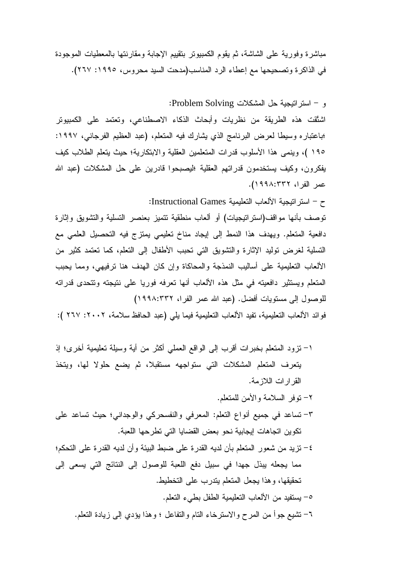مباشرة وفورية على الشاشة، ثم يقوم الكمبيوتر بتقييم الإجابة ومقارنتها بالمعطيات الموجودة في الذاكرة وتصحيحها مع إعطاء الرد المناسب(مدحت السيد محروس، ١٩٩٥: ٢٦٧).

و – استر اتيجية حل المشكلات Problem Solving:

اشتُقت هذه الطريقة من نظريات وأبحاث الذكاء الاصطناعي، وتعتمد على الكمبيوتر ؛باعتباره وسيطا لعرض البرنامج الذي يشارك فيه المتعلم، (عبد العظيم الفرجاني، ١٩٩٧: ١٩٥ )، وينمي هذا الأسلوب قدرات المتعلمين العقلية والابتكارية؛ حيث يتعلم الطلاب كيف يفكرون، وكيف يستخدمون قدراتهم العقلية ؛ليصبحوا قادرين على حل المشكلات (عبد الله عمر الفرا، ١٩٩٨:٣٣٢).

ح – استر اتيجية الألعاب التعليمية Instructional Games:

توصف بأنها مواقف(استراتيجيات) أو ألعاب منطقية نتميز بعنصر التسلية والتشويق وإثارة دافعية المتعلم. ويهدف هذا النمط إلى إيجاد مناخ تعليمي يمتزج فيه التحصيل العلمي مع التسلية لغرض توليد الإثارة والتشويق التبي تحبب الأطفال إلى التعلم، كما تعتمد كثير من الألعاب التعليمية على أساليب النمذجة والمحاكاة وإن كان الهدف هنا نرفيهي، ومما يحبب المتعلم ويستثير دافعيته في مثل هذه الألعاب أنها تعرفه فوريا على نتيجته وتتحدى قدراته للوصول إلى مستويات أفضل. (عبد الله عمر الفرا، ١٩٩٨:٢٣٢) فوائد الألعاب التعليمية، تفيد الألعاب التعليمية فيما يلي (عبد الحافظ سلامة، ٢٠٠٢: ٢٦٧ ):

١– نزود المتعلم بخبرات أقرب إلى الواقع العملي أكثر من أية وسيلة تعليمية أخرى؛ إذ يتعرف المتعلم المشكلات التي ستواجهه مستقبلا، ثم يضع حلولا لها، ويتخذ القر ار ات اللاز مة. ٢- نوفر السلامة والأمن للمتعلم. ٣- تساعد في جميع أنواع النعلم: المعرفي والنفسحركي والوجداني؛ حيث تساعد على تكوين اتجاهات إيجابية نحو بعض القضايا التي تطرحها اللعبة. ٤– نزيد من شعور المتعلم بأن لديه القدرة على ضبط البيئة وأن لديه القدرة على التحكم؛ مما يجعله يبذل جهدا في سبيل دفع اللعبة للوصول إلى النتائج التي يسعى إلى تحقيقها، وهذا يجعل المتعلم يتدرب على التخطيط. ٥– يستفيد من الألعاب التعليمية الطفل بطيء التعلم. ٦– نشيع جوأ من المرح والاسترخاء النام والنفاعل ؛ وهذا يؤدي إلى زيادة النعلم.